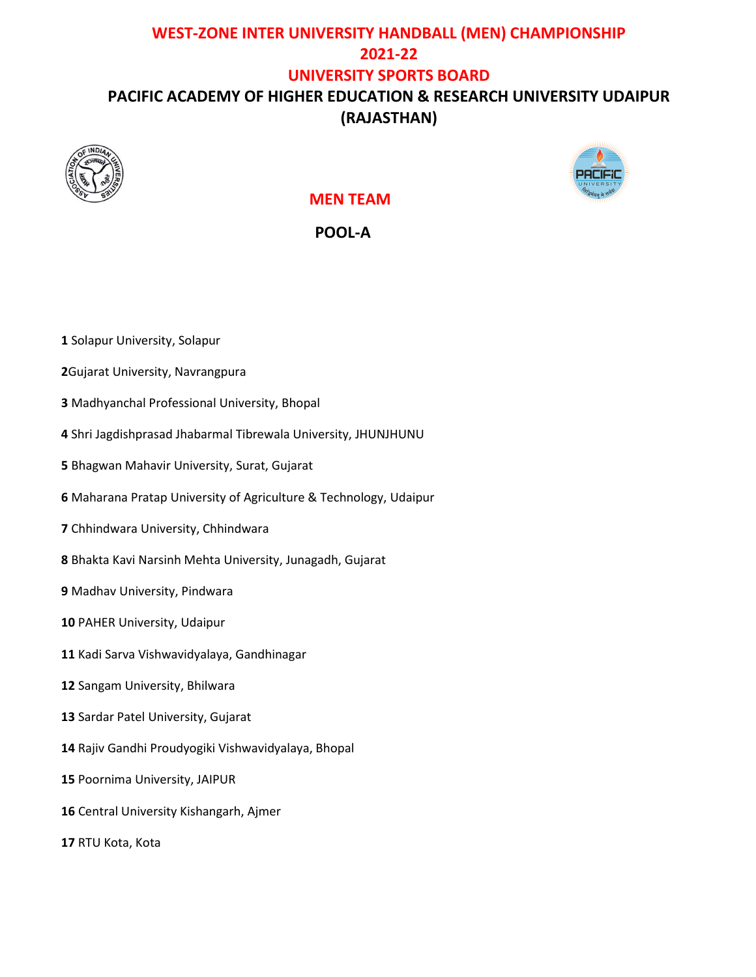# **WEST-ZONE INTER UNIVERSITY HANDBALL (MEN) CHAMPIONSHIP 2021-22 UNIVERSITY SPORTS BOARD PACIFIC ACADEMY OF HIGHER EDUCATION & RESEARCH UNIVERSITY UDAIPUR (RAJASTHAN)**





 **MEN TEAM** 

 **POOL-A**

- Solapur University, Solapur
- Gujarat University, Navrangpura
- Madhyanchal Professional University, Bhopal
- Shri Jagdishprasad Jhabarmal Tibrewala University, JHUNJHUNU
- Bhagwan Mahavir University, Surat, Gujarat
- Maharana Pratap University of Agriculture & Technology, Udaipur
- Chhindwara University, Chhindwara
- Bhakta Kavi Narsinh Mehta University, Junagadh, Gujarat
- Madhav University, Pindwara
- PAHER University, Udaipur
- Kadi Sarva Vishwavidyalaya, Gandhinagar
- Sangam University, Bhilwara
- Sardar Patel University, Gujarat
- Rajiv Gandhi Proudyogiki Vishwavidyalaya, Bhopal
- Poornima University, JAIPUR
- Central University Kishangarh, Ajmer
- RTU Kota, Kota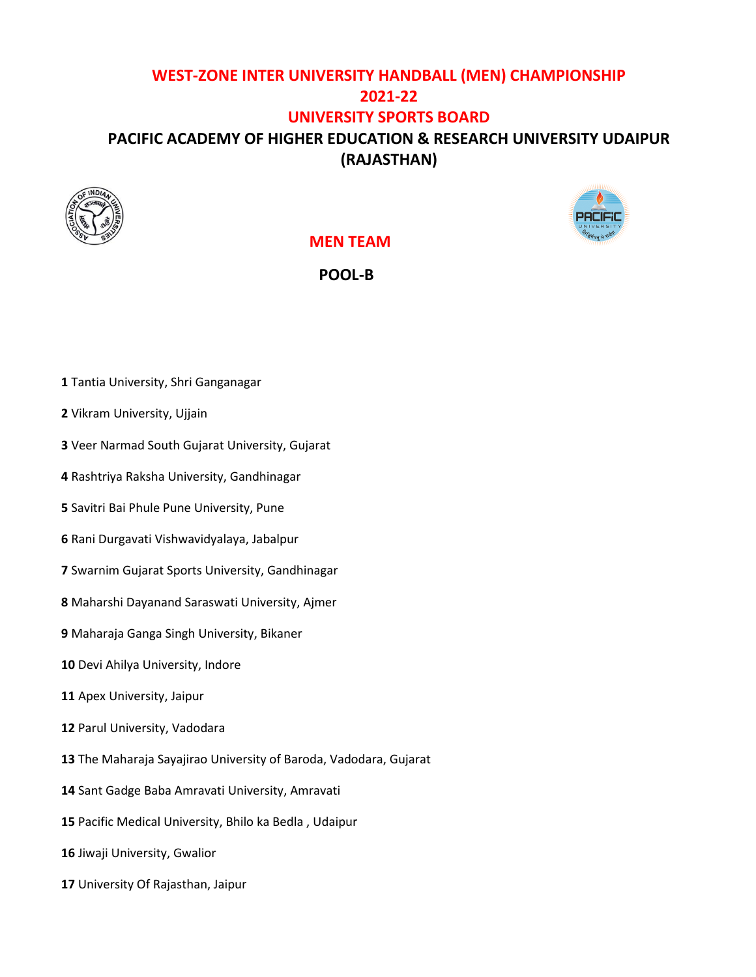### **WEST-ZONE INTER UNIVERSITY HANDBALL (MEN) CHAMPIONSHIP 2021-22 UNIVERSITY SPORTS BOARD PACIFIC ACADEMY OF HIGHER EDUCATION & RESEARCH UNIVERSITY UDAIPUR (RAJASTHAN)**





#### **MEN TEAM**

 **POOL-B**

- Tantia University, Shri Ganganagar
- Vikram University, Ujjain
- Veer Narmad South Gujarat University, Gujarat
- Rashtriya Raksha University, Gandhinagar
- Savitri Bai Phule Pune University, Pune
- Rani Durgavati Vishwavidyalaya, Jabalpur
- Swarnim Gujarat Sports University, Gandhinagar
- Maharshi Dayanand Saraswati University, Ajmer
- Maharaja Ganga Singh University, Bikaner
- Devi Ahilya University, Indore
- Apex University, Jaipur
- Parul University, Vadodara
- The Maharaja Sayajirao University of Baroda, Vadodara, Gujarat
- Sant Gadge Baba Amravati University, Amravati
- Pacific Medical University, Bhilo ka Bedla , Udaipur
- Jiwaji University, Gwalior
- University Of Rajasthan, Jaipur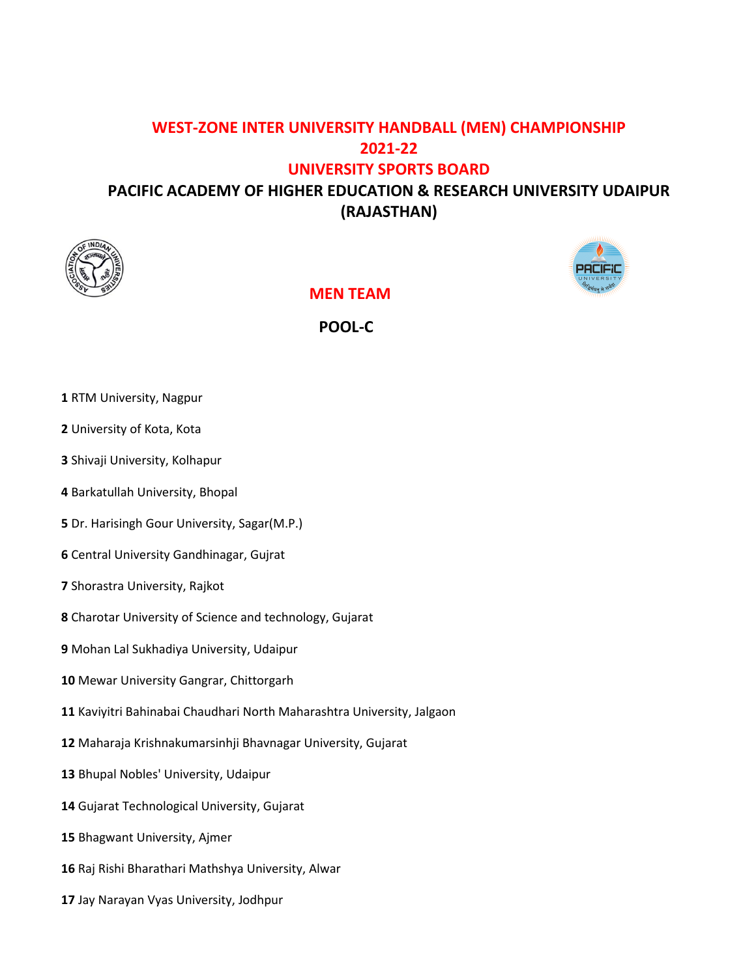### **WEST-ZONE INTER UNIVERSITY HANDBALL (MEN) CHAMPIONSHIP 2021-22 UNIVERSITY SPORTS BOARD**

# **PACIFIC ACADEMY OF HIGHER EDUCATION & RESEARCH UNIVERSITY UDAIPUR (RAJASTHAN)**





 **MEN TEAM** 

 **POOL-C**

- RTM University, Nagpur
- University of Kota, Kota
- Shivaji University, Kolhapur
- Barkatullah University, Bhopal
- Dr. Harisingh Gour University, Sagar(M.P.)
- Central University Gandhinagar, Gujrat
- Shorastra University, Rajkot
- Charotar University of Science and technology, Gujarat
- Mohan Lal Sukhadiya University, Udaipur
- Mewar University Gangrar, Chittorgarh
- Kaviyitri Bahinabai Chaudhari North Maharashtra University, Jalgaon
- Maharaja Krishnakumarsinhji Bhavnagar University, Gujarat
- Bhupal Nobles' University, Udaipur
- Gujarat Technological University, Gujarat
- Bhagwant University, Ajmer
- Raj Rishi Bharathari Mathshya University, Alwar
- Jay Narayan Vyas University, Jodhpur